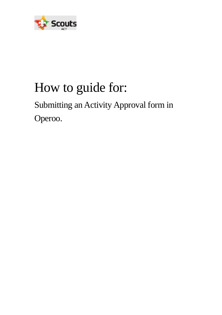

# How to guide for:

# Submitting an Activity Approval form in Operoo.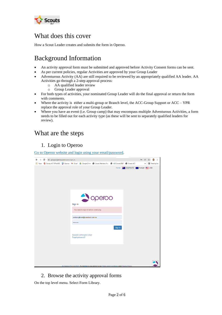

## What does this cover

How a Scout Leader creates and submits the form in Operoo.

# Background Information

- An activity approval form must be submitted and approved before Activity Consent forms can be sent.
- As per current policies, regular Activities are approved by your Group Leader
- Adventurous Activity (AA) are still required to be reviewed by an appropriately qualified AA leader. AA Activities go through a 2-step approval process:
	- o AA qualified leader review
	- o Group Leader approval
- For both types of activities, your nominated Group Leader will do the final approval or return the form with comments.
- Where the activity is either a multi-group or Branch level, the ACC-Group Support or  $ACC-YPR$ replace the approval role of your Group Leader.
- Where you have an event (i.e. Group camp) that may encompass multiple Adventurous Activities, a form needs to be filled out for each activity type (as these will be sent to separately qualified leaders for review).

### What are the steps

#### 1. Login to Operoo

[Go to Operoo website and login using your email/password.](https://groups.operoo.com/users/sign_in)

| $\leftarrow$ $\rightarrow$<br>C<br>groups.operoo.com/users/sign_in |                                                                                                                   | <b>图 ☆ 骨 :</b><br>0 <sub>T</sub>                           |
|--------------------------------------------------------------------|-------------------------------------------------------------------------------------------------------------------|------------------------------------------------------------|
|                                                                    | [1] Apps ( Scouts ACT Office365 ) Operoo M Gmail & Google Drive @ Scouts Members Ar @ ACR Scouts P&P @ Scouts ACT | <b>图 Reading list</b><br>$\rightarrow$                     |
|                                                                    |                                                                                                                   | Home <b>MAR</b> Asia Pacific <b>C</b> Europe <b>EE</b> USA |
|                                                                    | peroo<br>$\rightarrow$<br>Sign in<br>You need to sign in before continuing.                                       |                                                            |
|                                                                    | andrew.gibson@scoutsact.com.au<br>                                                                                |                                                            |
|                                                                    | Sign in<br>Resend Confirmation email<br>Forgot password?                                                          |                                                            |
|                                                                    |                                                                                                                   |                                                            |
|                                                                    | @ Oneroo Ptv Ltd 2022. By signing in you agree to our Terms and Conditions and Privacy Policy                     |                                                            |

#### 2. Browse the activity approval forms

On the top level menu. Select Form Library.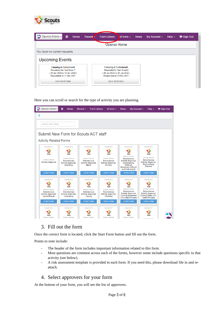

| Operoo Home -<br>⊕                                        | Home | Recent $\epsilon$ | Form Library                                              | $B$ Forms $\sim$ | <b>News</b> | My Account $\sim$ | Help $\sim$ | $\bullet$ Sign Out |
|-----------------------------------------------------------|------|-------------------|-----------------------------------------------------------|------------------|-------------|-------------------|-------------|--------------------|
|                                                           |      |                   | Operoo Home                                               |                  |             |                   |             |                    |
| You have no current requests                              |      |                   |                                                           |                  |             |                   |             |                    |
|                                                           |      |                   |                                                           |                  |             |                   |             |                    |
|                                                           |      |                   |                                                           |                  |             |                   |             |                    |
| <b>Upcoming Events</b>                                    |      |                   |                                                           |                  |             |                   |             |                    |
| <b>Camping at Cottermouth</b>                             |      |                   | <b>Camping at Cottermouth</b>                             |                  |             |                   |             |                    |
| Requested for Test Scout 1<br>29 Jan 2022 to 30 Jan 2022) |      |                   | Requested for Test Scout 2<br>29 Jan 2022 to 30 Jan 2022) |                  |             |                   |             |                    |
| Responded on 11 Dec 2021                                  |      |                   | Responded on 23 Dec 2021                                  |                  |             |                   |             |                    |

Here you can scroll or search for the type of activity you are planning.

| Operoo Home -                                                                                    | ⊕<br>Home                                                                                      | <b>Form Library</b><br>Recent $\sim$                                                 | $e$ Forms $\sim$                                                                              | My Account -<br><b>News</b>                                                                                                                           | Help $\sim$                                                                                                                      | G Sign Out |
|--------------------------------------------------------------------------------------------------|------------------------------------------------------------------------------------------------|--------------------------------------------------------------------------------------|-----------------------------------------------------------------------------------------------|-------------------------------------------------------------------------------------------------------------------------------------------------------|----------------------------------------------------------------------------------------------------------------------------------|------------|
|                                                                                                  |                                                                                                |                                                                                      |                                                                                               |                                                                                                                                                       |                                                                                                                                  |            |
| Search Form Library                                                                              |                                                                                                |                                                                                      |                                                                                               |                                                                                                                                                       |                                                                                                                                  |            |
| Submit New Form for Scouts ACT staff                                                             |                                                                                                |                                                                                      |                                                                                               |                                                                                                                                                       |                                                                                                                                  |            |
| <b>Activity Related Forms</b>                                                                    |                                                                                                |                                                                                      |                                                                                               |                                                                                                                                                       |                                                                                                                                  |            |
| <b>Scouts ACT</b><br><b>Scouts</b>                                                               | <b>Scouts ACT</b><br><b>Scouts</b>                                                             | <b>Scouts ACT</b><br><b>Scouts</b>                                                   | <b>Scouts ACT</b><br><b>Scouts</b>                                                            | <b>Scouts ACT</b><br><b>Scouts</b>                                                                                                                    | <b>Scouts ACT</b><br><b>Scouts</b>                                                                                               |            |
| <b>Andrew Gibson</b><br><b>Activity Approval</b>                                                 | <b>Andrew Gibson</b><br>Adventurous<br><b>Activity Approval-</b><br>Abseiling                  | <b>Andrew Gibson</b><br><b>Adventurous</b><br><b>Activity Approval-</b><br>Alpine    | <b>Andrew Gibson</b><br><b>Adventurous</b><br><b>Activity Approval-</b><br>Archery            | <b>Andrew Gibson</b><br>Adventurous<br><b>Activity Approval-</b><br><b>Bushwalking</b><br>(Difficult,<br><b>Extremely Difficult</b><br>and Untracked) | <b>Andrew Gibson</b><br><b>Adventurous</b><br><b>Activity Approval-</b><br><b>Bushwalking</b><br><b>Tracked</b>                  |            |
| <b>START FORM</b>                                                                                | <b>START FORM</b>                                                                              | <b>START FORM</b>                                                                    | <b>START FORM</b>                                                                             | <b>START FORM</b>                                                                                                                                     | <b>START FORM</b>                                                                                                                |            |
| <b>Scouts ACT</b>                                                                                | <b>Scouts ACT</b>                                                                              | <b>Scouts ACT</b>                                                                    | <b>Scouts ACT</b>                                                                             | <b>Scouts ACT</b>                                                                                                                                     | <b>Scouts ACT</b>                                                                                                                |            |
| <b>Scouts</b><br><b>Andrew Gibson</b><br>Adventurous<br><b>Activity Approval-</b><br>Canoe/Kavak | <b>Scouts</b><br><b>Andrew Gibson</b><br>Adventurous<br><b>Activity Approval-</b><br>Canyoning | <b>Scouts</b><br>Andrew Gibson<br>Adventurous<br><b>Activity Approval-</b><br>Caving | <b>Scouts</b><br><b>Andrew Gibson</b><br>Adventurous<br><b>Activity Approval-</b><br>Climbina | <b>Scouts</b><br><b>Andrew Gibson</b><br><b>Adventurous</b><br><b>Activity Approval-</b><br><b>Cycling Advanced</b><br>(On-road/Off-road)             | <b>Scouts</b><br><b>Andrew Gibson</b><br><b>Adventurous</b><br><b>Activity Approval-</b><br>Cycling Basic (On-<br>road/Off-road) |            |
| <b>START FORM</b>                                                                                | <b>START FORM</b>                                                                              | <b>START FORM</b>                                                                    | <b>START FORM</b>                                                                             | <b>START FORM</b>                                                                                                                                     | <b>START FORM</b>                                                                                                                |            |
| Scouts ACT                                                                                       | Scouts ACT                                                                                     | Scouts ACT                                                                           | <b>Scouts ACT</b>                                                                             | <b>Scouts ACT</b>                                                                                                                                     | Scouts ACT                                                                                                                       |            |
| <b>Scouts</b><br><b>Andrew Gibson</b>                                                            | <b>Scouts</b><br><b>Andrew Gibson</b>                                                          | <b>Scouts</b><br><b>Andrew Gibson</b>                                                | <b>Scouts</b><br><b>Andrew Gibson</b>                                                         | <b>Scouts</b><br><b>Andrew Gibson</b>                                                                                                                 | <b>Scouts</b><br>Androw Gibcon                                                                                                   |            |

#### 3. Fill out the form

Once the correct form is located, click the Start Form button and fill out the form.

Points to note include:

- The header of the form includes important information related to this form.
- Most questions are common across each of the forms, however some include questions specific to that activity (see below).
- A risk assessment template is provided in each form. If you need this, please download file in and reattach.

#### 4. Select approvers for your form

At the bottom of your form, you will see the list of approvers.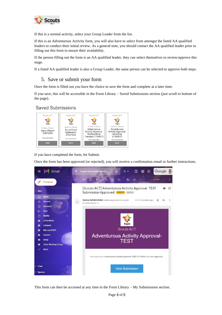

If this is a normal activity, select your Group Leader from the list.

If this is an Adventurous Activity form, you will also have to select from amongst the listed AA qualified leaders to conduct their initial review. As a general note, you should contact the AA qualified leader prior to filling out this form to ensure their availability.

If the person filling out the form is an AA qualified leader, they can select themselves to review/approve this stage.

If a listed AA qualified leader is also a Group Leader, the same person can be selected to approve both steps.

#### 5. Save or submit your form

Once the form is filled out you have the choice to save the form and complete at a later time.

If you save, this will be accessible in the Form Library – Saved Submissions section (just scroll to bottom of the page).

#### **Saved Submissions**



If you have completed the form, hit Submit.

Once the form has been approved (or rejected), you will receive a confirmation email or further instructions.



This form can then be accessed at any time in the Form Library – My Submissions section.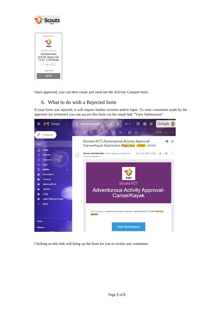



Once approved, you can then create and send out the Activity Consent form.

#### 6. What to do with a Rejected form

If your form was rejected, it will require further revision and/or input. To view comments made by the approver (or reviewer) you can access this form via the email link "View Submission".



Clicking on this link will bring up the form for you to review any comments.